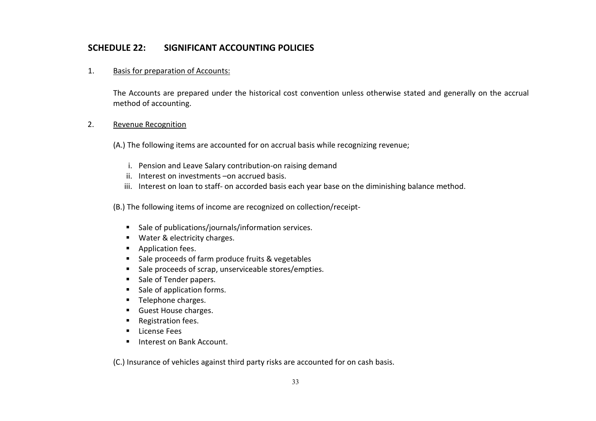# **SCHEDULE 22: SIGNIFICANT ACCOUNTING POLICIES**

### 1. Basis for preparation of Accounts:

The Accounts are prepared under the historical cost convention unless otherwise stated and generally on the accrual method of accounting.

## 2. Revenue Recognition

(A.) The following items are accounted for on accrual basis while recognizing revenue;

- i. Pension and Leave Salary contribution-on raising demand
- ii. Interest on investments –on accrued basis.
- iii. Interest on loan to staff- on accorded basis each year base on the diminishing balance method.

(B.) The following items of income are recognized on collection/receipt-

- Sale of publications/journals/information services.
- **Water & electricity charges.**
- **Application fees.**
- Sale proceeds of farm produce fruits & vegetables
- Sale proceeds of scrap, unserviceable stores/empties.
- Sale of Tender papers.
- **Sale of application forms.**
- **Telephone charges.**
- **Guest House charges.**
- Registration fees.
- **License Fees**
- **Interest on Bank Account.**

(C.) Insurance of vehicles against third party risks are accounted for on cash basis.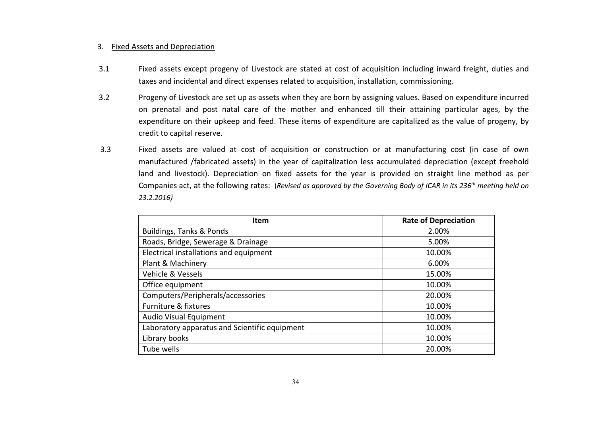#### 3. Fixed Assets and Depreciation

- 3.1 Fixed assets except progeny of Livestock are stated at cost of acquisition including inward freight, duties and taxes and incidental and direct expenses related to acquisition, installation, commissioning.
- 3.2 Progeny of Livestock are set up as assets when they are born by assigning values. Based on expenditure incurred on prenatal and post natal care of the mother and enhanced till their attaining particular ages, by the expenditure on their upkeep and feed. These items of expenditure are capitalized as the value of progeny, by credit to capital reserve.
- 3.3 Fixed assets are valued at cost of acquisition or construction or at manufacturing cost (in case of own manufactured /fabricated assets) in the year of capitalization less accumulated depreciation (except freehold land and livestock). Depreciation on fixed assets for the year is provided on straight line method as per Companies act, at the following rates: (*Revised as approved by the Governing Body of ICAR in its 236th meeting held on 23.2.2016)*

| Item                                          | <b>Rate of Depreciation</b> |
|-----------------------------------------------|-----------------------------|
| Buildings, Tanks & Ponds                      | 2.00%                       |
| Roads, Bridge, Sewerage & Drainage            | 5.00%                       |
| Electrical installations and equipment        | 10.00%                      |
| Plant & Machinery                             | 6.00%                       |
| Vehicle & Vessels                             | 15.00%                      |
| Office equipment                              | 10.00%                      |
| Computers/Peripherals/accessories             | 20.00%                      |
| Furniture & fixtures                          | 10.00%                      |
| Audio Visual Equipment                        | 10.00%                      |
| Laboratory apparatus and Scientific equipment | 10.00%                      |
| Library books                                 | 10.00%                      |
| Tube wells                                    | 20.00%                      |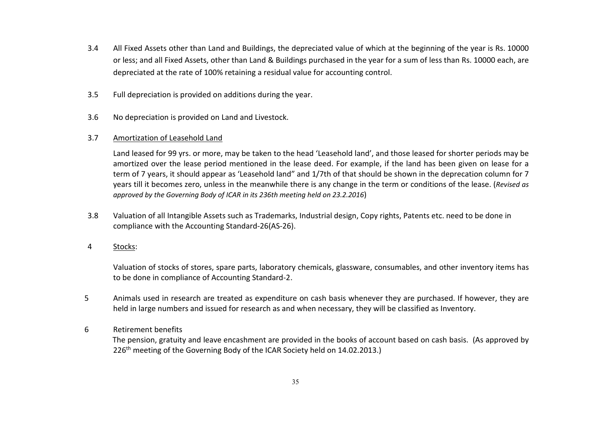- 3.4 All Fixed Assets other than Land and Buildings, the depreciated value of which at the beginning of the year is Rs. 10000 or less; and all Fixed Assets, other than Land & Buildings purchased in the year for a sum of less than Rs. 10000 each, are depreciated at the rate of 100% retaining a residual value for accounting control.
- 3.5 Full depreciation is provided on additions during the year.
- 3.6 No depreciation is provided on Land and Livestock.

## 3.7 Amortization of Leasehold Land

Land leased for 99 yrs. or more, may be taken to the head 'Leasehold land', and those leased for shorter periods may be amortized over the lease period mentioned in the lease deed. For example, if the land has been given on lease for a term of 7 years, it should appear as 'Leasehold land" and 1/7th of that should be shown in the deprecation column for 7 years till it becomes zero, unless in the meanwhile there is any change in the term or conditions of the lease. (*Revised as approved by the Governing Body of ICAR in its 236th meeting held on 23.2.2016*)

3.8 Valuation of all Intangible Assets such as Trademarks, Industrial design, Copy rights, Patents etc. need to be done in compliance with the Accounting Standard-26(AS-26).

## 4 Stocks:

Valuation of stocks of stores, spare parts, laboratory chemicals, glassware, consumables, and other inventory items has to be done in compliance of Accounting Standard-2.

5 Animals used in research are treated as expenditure on cash basis whenever they are purchased. If however, they are held in large numbers and issued for research as and when necessary, they will be classified as Inventory.

## 6 Retirement benefits

 The pension, gratuity and leave encashment are provided in the books of account based on cash basis. (As approved by 226<sup>th</sup> meeting of the Governing Body of the ICAR Society held on 14.02.2013.)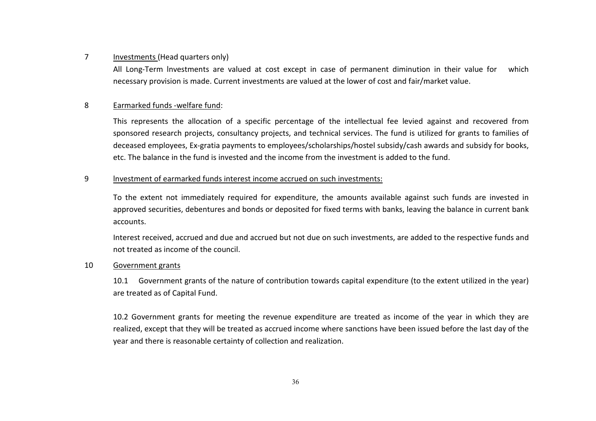### 7 Investments (Head quarters only)

All Long-Term lnvestments are valued at cost except in case of permanent diminution in their value for which necessary provision is made. Current investments are valued at the lower of cost and fair/market value.

### 8 Earmarked funds -welfare fund:

This represents the allocation of a specific percentage of the intellectual fee levied against and recovered from sponsored research projects, consultancy projects, and technical services. The fund is utilized for grants to families of deceased employees, Ex-gratia payments to employees/scholarships/hostel subsidy/cash awards and subsidy for books, etc. The balance in the fund is invested and the income from the investment is added to the fund.

## 9 lnvestment of earmarked funds interest income accrued on such investments:

To the extent not immediately required for expenditure, the amounts available against such funds are invested in approved securities, debentures and bonds or deposited for fixed terms with banks, leaving the balance in current bank accounts.

Interest received, accrued and due and accrued but not due on such investments, are added to the respective funds and not treated as income of the council.

#### 10 Government grants

10.1 Government grants of the nature of contribution towards capital expenditure (to the extent utilized in the year) are treated as of Capital Fund.

 10.2 Government grants for meeting the revenue expenditure are treated as income of the year in which they are realized, except that they will be treated as accrued income where sanctions have been issued before the last day of the year and there is reasonable certainty of collection and realization.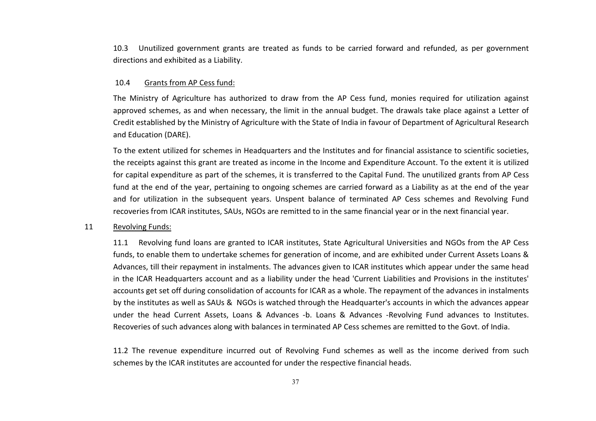10.3 Unutilized government grants are treated as funds to be carried forward and refunded, as per government directions and exhibited as a Liability.

#### 10.4 Grants from AP Cess fund:

The Ministry of Agriculture has authorized to draw from the AP Cess fund, monies required for utilization against approved schemes, as and when necessary, the limit in the annual budget. The drawals take place against a Letter of Credit established by the Ministry of Agriculture with the State of India in favour of Department of Agricultural Research and Education (DARE).

To the extent utilized for schemes in Headquarters and the Institutes and for financial assistance to scientific societies, the receipts against this grant are treated as income in the Income and Expenditure Account. To the extent it is utilized for capital expenditure as part of the schemes, it is transferred to the Capital Fund. The unutilized grants from AP Cess fund at the end of the year, pertaining to ongoing schemes are carried forward as a Liability as at the end of the year and for utilization in the subsequent years. Unspent balance of terminated AP Cess schemes and Revolving Fund recoveries from ICAR institutes, SAUs, NGOs are remitted to in the same financial year or in the next financial year.

#### 11 Revolving Funds:

11.1 Revolving fund loans are granted to ICAR institutes, State Agricultural Universities and NGOs from the AP Cess funds, to enable them to undertake schemes for generation of income, and are exhibited under Current Assets Loans & Advances, till their repayment in instalments. The advances given to ICAR institutes which appear under the same head in the ICAR Headquarters account and as a liability under the head 'Current Liabilities and Provisions in the institutes' accounts get set off during consolidation of accounts for ICAR as a whole. The repayment of the advances in instalments by the institutes as well as SAUs & NGOs is watched through the Headquarter's accounts in which the advances appear under the head Current Assets, Loans & Advances -b. Loans & Advances -Revolving Fund advances to Institutes. Recoveries of such advances along with balances in terminated AP Cess schemes are remitted to the Govt. of India.

11.2 The revenue expenditure incurred out of Revolving Fund schemes as well as the income derived from such schemes by the ICAR institutes are accounted for under the respective financial heads.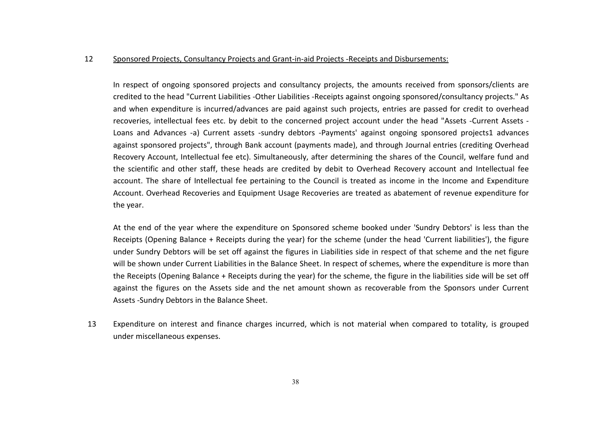#### 12 Sponsored Projects, Consultancy Projects and Grant-in-aid Projects -Receipts and Disbursements:

In respect of ongoing sponsored projects and consultancy projects, the amounts received from sponsors/clients are credited to the head "Current Liabilities -Other Liabilities -Receipts against ongoing sponsored/consultancy projects." As and when expenditure is incurred/advances are paid against such projects, entries are passed for credit to overhead recoveries, intellectual fees etc. by debit to the concerned project account under the head "Assets -Current Assets - Loans and Advances -a) Current assets -sundry debtors -Payments' against ongoing sponsored projects1 advances against sponsored projects", through Bank account (payments made), and through Journal entries (crediting Overhead Recovery Account, Intellectual fee etc). Simultaneously, after determining the shares of the Council, welfare fund and the scientific and other staff, these heads are credited by debit to Overhead Recovery account and Intellectual fee account. The share of Intellectual fee pertaining to the Council is treated as income in the Income and Expenditure Account. Overhead Recoveries and Equipment Usage Recoveries are treated as abatement of revenue expenditure for the year.

At the end of the year where the expenditure on Sponsored scheme booked under 'Sundry Debtors' is less than the Receipts (Opening Balance + Receipts during the year) for the scheme (under the head 'Current liabilities'), the figure under Sundry Debtors will be set off against the figures in Liabilities side in respect of that scheme and the net figure will be shown under Current Liabilities in the Balance Sheet. In respect of schemes, where the expenditure is more than the Receipts (Opening Balance + Receipts during the year) for the scheme, the figure in the liabilities side will be set off against the figures on the Assets side and the net amount shown as recoverable from the Sponsors under Current Assets -Sundry Debtors in the Balance Sheet.

13 Expenditure on interest and finance charges incurred, which is not material when compared to totality, is grouped under miscellaneous expenses.